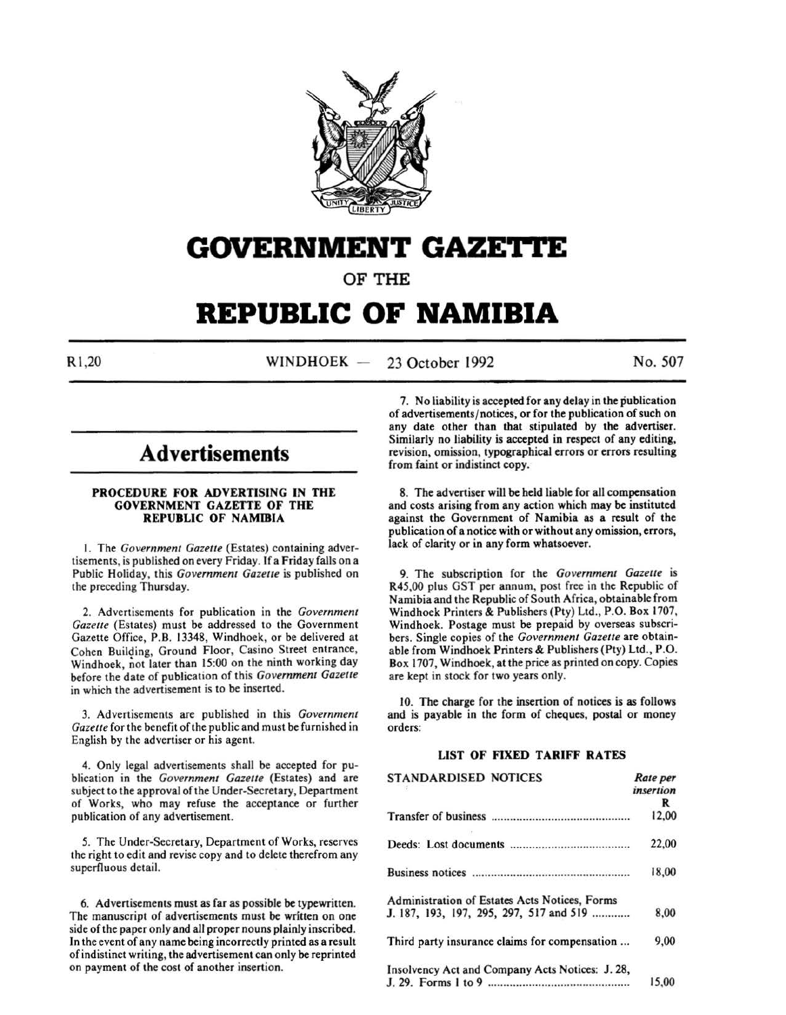

# **GOVERNMENT GAZETTE**

OF THE

## **REPUBLIC OF NAMIBIA**

Rl,20 WINDHOEK - 23 October 1992 No. 507

## **Advertisements**

#### PROCEDURE FOR ADVERTISING IN THE GOVERNMENT GAZETTE OF THE REPUBLIC OF NAMIBIA

I. The *Government Gazette* (Estates) containing advertisements, is published on every Friday. If a Friday falls on a Public Holiday, this *Government Gazette* is published on the preceding Thursday.

2. Advertisements for publication in the *Government Gazette* (Estates) must be addressed to the Government Gazette Office, P.B. 13348, Windhoek, or be delivered at Cohen Building, Ground Floor, Casino Street entrance, Windhoek, not later than 15:00 on the ninth working day before the date of publication of this *Government Gazette*  in which the advertisement is to be inserted.

3. Advertisements are published in this *Government*  Gazette for the benefit of the public and must be furnished in English by the advertiser or his agent.

4. Only legal advertisements shall be accepted for publication in the *Government Gazette* (Estates) and are subject to the approval of the Under-Secretary, Department of Works, who may refuse the acceptance or further publication of any advertisement.

*5.* The Under-Secretary, Department of Works, reserves the right to edit and revise copy and to delete therefrom any superfluous detail.

6. Advertisements must as far as possible be typewritten. The manuscript of advertisements must be written on one side of the paper only and all proper nouns plainly inscribed. In the event of any name being incorrectly printed as a result of indistinct writing, the advertisement can only be reprinted on payment of the cost of another insertion.

7. No liability is accepted for any delay in the publication of advertisements/notices, or for the publication of such on any date other than that stipulated by the advertiser. Similarly no liability is accepted in respect of any editing, revision, omission, typographical errors or errors resulting from faint or indistinct copy.

8. The advertiser will be held liable for all compensation and costs arising from any action which may be instituted against the Government of Namibia as a result of the publication of a notice with or without any omission, errors, lack of clarity or in any form whatsoever.

9. The subscription for the *Government Gazette* is R45,00 plus GST per annum, post free in the Republic of Namibia and the Republic of South Africa, obtainable from Windhoek Printers & Publishers (Pty) Ltd., P.O. Box 1707, Windhoek. Postage must be prepaid by overseas subscribers. Single copies of the *Government Gazette* are obtainable from Windhoek Printers & Publishers (Pty) Ltd., P.O. Box 1707, Windhoek, at the price as printed on copy. Copies are kept in stock for two years only.

10. The charge for the insertion of notices is as follows and is payable in the form of cheques, postal or money orders:

## LIST OF FIXED TARIFF RATES

| <b>STANDARDISED NOTICES</b>                     | Rate per  |
|-------------------------------------------------|-----------|
|                                                 | insertion |
|                                                 | R         |
|                                                 | 12,00     |
|                                                 | 22,00     |
|                                                 | 18,00     |
| Administration of Estates Acts Notices, Forms   |           |
| J. 187, 193, 197, 295, 297, 517 and 519         | 8,00      |
| Third party insurance claims for compensation   | 9,00      |
| Insolvency Act and Company Acts Notices: J. 28, |           |
|                                                 | 15.00     |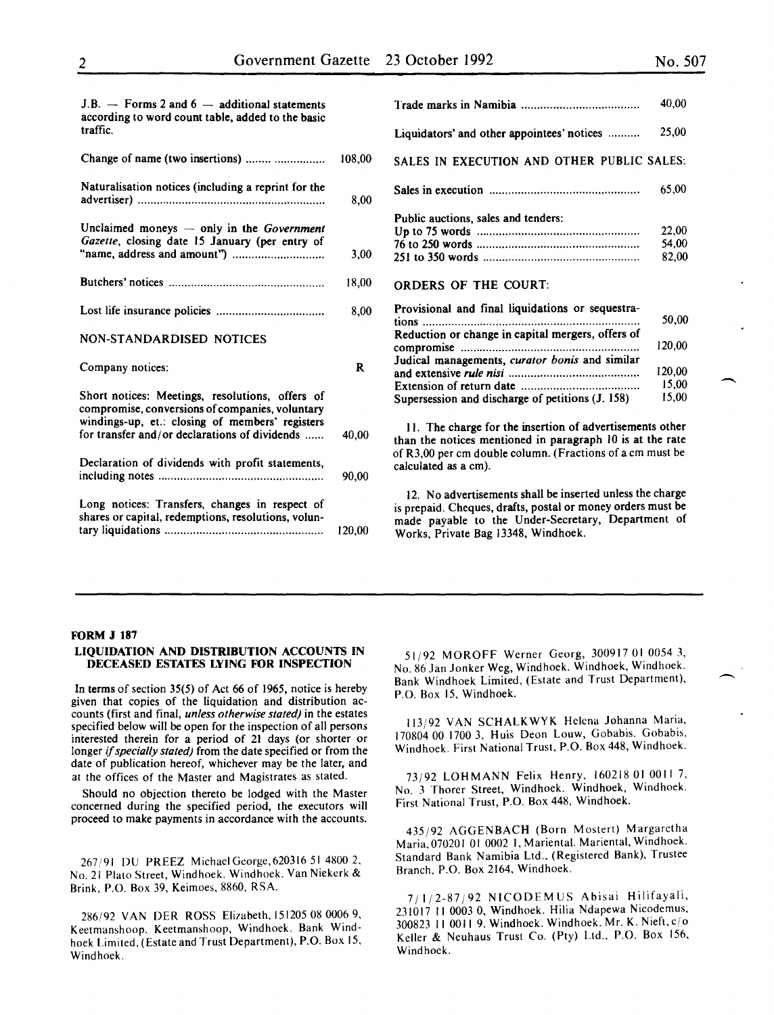| $J.B.$ - Forms 2 and 6 - additional statements<br>according to word count table, added to the basic                                                   |        |        |
|-------------------------------------------------------------------------------------------------------------------------------------------------------|--------|--------|
| traffic.                                                                                                                                              |        |        |
| Change of name (two insertions)                                                                                                                       | 108,00 |        |
| Naturalisation notices (including a reprint for the                                                                                                   | 8,00   | ٤      |
| Unclaimed moneys - only in the Government<br>Gazette, closing date 15 January (per entry of                                                           | 3,00   |        |
|                                                                                                                                                       | 18,00  |        |
|                                                                                                                                                       | 8.00   |        |
| NON-STANDARDISED NOTICES                                                                                                                              |        | Ó      |
| Company notices:                                                                                                                                      | R      | ć      |
| Short notices: Meetings, resolutions, offers of<br>compromise, conversions of companies, voluntary<br>windings-up, et.: closing of members' registers |        |        |
| for transfer and/or declarations of dividends                                                                                                         | 40,00  | t<br>c |
| Declaration of dividends with profit statements,                                                                                                      | 90,00  | C      |
| Long notices: Transfers, changes in respect of<br>shares or capital, redemptions, resolutions, volun-                                                 | 120,00 | ī      |

|                                                   | 40,00  |
|---------------------------------------------------|--------|
| Liquidators' and other appointees' notices        | 25,00  |
| SALES IN EXECUTION AND OTHER PUBLIC SALES:        |        |
|                                                   | 65,00  |
| Public auctions, sales and tenders:               |        |
|                                                   | 22,00  |
|                                                   | 54,00  |
|                                                   | 82,00  |
| ORDERS OF THE COURT:                              |        |
| Provisional and final liquidations or sequestra-  |        |
|                                                   | 50,00  |
| Reduction or change in capital mergers, offers of |        |
|                                                   | 120.00 |
|                                                   |        |
| Judical managements, curator bonis and similar    |        |
|                                                   | 120,00 |
|                                                   | 15,00  |
| Supersession and discharge of petitions (J. 158)  | 15,00  |

11. The charge for the insertion of advertisements other than the notices mentioned in paragraph 10 is at the rate of R3,00 per em double column. (Fractions of a em must be calculated as a em).

12. No advertisements shall be inserted unless the charge is prepaid. Cheques, drafts, postal or money orders must be made payable to the Under-Secretary, Department of Works, Private Bag 13348, Windhoek.

#### FORM J 187

#### LIQUIDATION AND DISTRIBUTION ACCOUNTS IN DECEASED ESTATES LYING FOR INSPECTION

In terms of section  $35(5)$  of Act 66 of 1965, notice is hereby given that copies of the liquidation and distribution accounts (first and final, *unless otherwise stated)* in the estates specified below will be open for the inspection of all persons interested therein for a period of 21 days (or shorter or longer if *specially stated)* from the date specified or from the date of publication hereof, whichever may be the later, and at the offices of the Master and Magistrates as stated.

Should no objection thereto be lodged with the Master concerned during the specified period, the executors will proceed to make payments in accordance with the accounts.

267/91 DU PREEZ Michael George, 620316 51 4800 2. No. 21 Plato Street, Windhoek. Windhoek. Van Niekerk & Brink. P.O. Box 39, Keimoes, 8860, RSA.

286/92 VAN DER ROSS Elizabeth, 151205 08 0006 9, Keetmanshoop. Keetmanshoop, Windhoek. Bank Windhoek Limited, (Estate and Trust Department), P.O. Box 15, Windhoek.

51/92 MOROFF Werner Georg, 3009170100543, No. 86 Jan Jonker Weg, Windhoek. Windhoek, Windhoek. Bank Windhoek Limited, (Estate and Trust Department). P.O. Box 15, Windhoek.

113/92 VAN SCHALK WYK Helena Johanna Maria, 170804 00 1700 3, Huis Deon Louw, Gobabis. Gobabis, Windhoek. First National Trust, P.O. Box 448, Windhoek.

73/92 LOHMANN Felix Henry, 160218 01 0011 7, No. 3 Thorer Street, Windhoek. Windhoek, Windhoek. First National Trust, P.O. Box 448, Windhoek.

435/92 AGGENBACH (Born Mostert) Margaretha Maria,070201 01 0002 I, Mariental. Mariental, Windhoek. Standard Bank Namibia Ltd., (Registered Bank), Trustee Branch, P.O. Box 2164, Windhoek.

7/ lj2-87j92 NICODEMUS Abisai Hilifayali, 231017 II 0003 0, Windhoek. Hilia Ndapewa Nicodemus, 300823 II 0011 9. Windhoek. Windhoek. Mr. K. Nieft. cjo Keller & Neuhaus Trust Co. (Pty) Ltd., P.O. Box 156, Windhoek.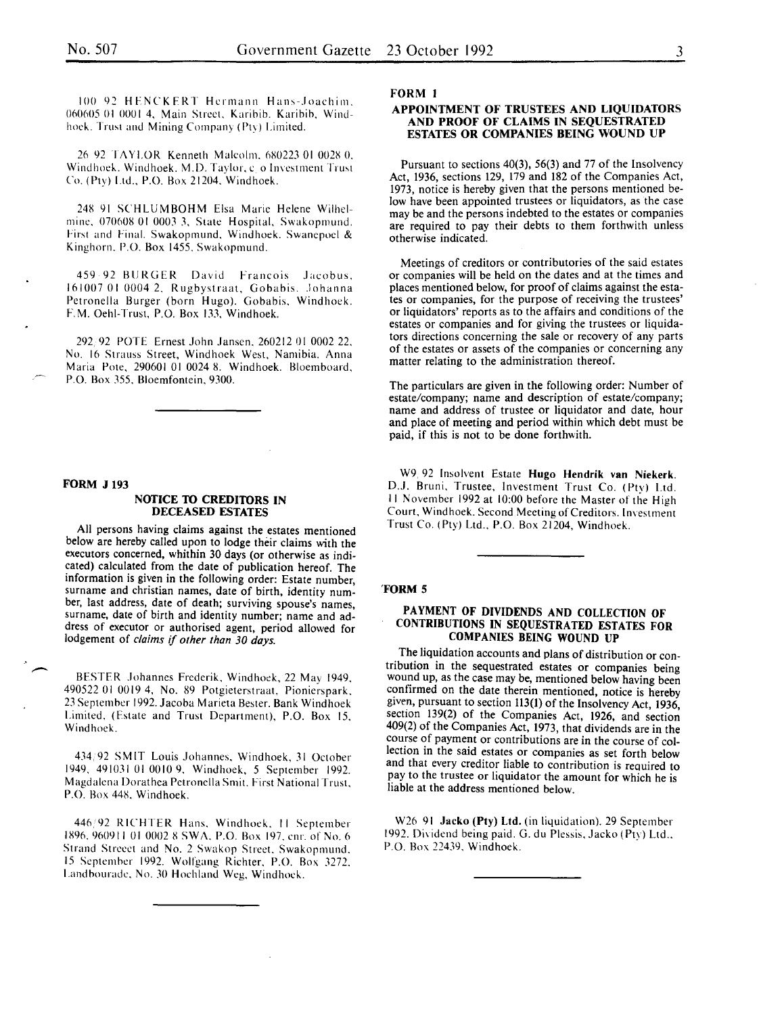100 92 HENCKERT Hermann Hans-Joachim. 060605 01 0001 4, Main Street, Karibib. Karibib, Windhoek. Trust and Mining Company (Pty) Limited.

26 92 TAYLOR Kenneth Malcolm, 680223 01 0028 0. Windhoek. Windhoek. M.D. Taylor, colnvestment Trust Co. (Pty) Ltd., P.O. Box 21204. Windhoek.

24X 91 SCHLUMBOHM Elsa Marie Helene Wilhelmine. 070608 01 0003 3. State Hospital, Swakopmund. First and Final. Swakopmund. Windhoek. Swanepocl & Kinghorn, P.O. Box 1455. Swakopmund.

459 92 BURGER David Francois Jacobus. 161007 01 0004 2, Rugbystraat, Gobabis. Johanna Petronella Burger (born Hugo). Gobabis, Windhoek. F. M. Oehi-Trust, P.O. Box 133, Windhoek.

292,92 POTE Ernest John Jansen. 260212 01 0002 22, No. 16 Strauss Street, Windhoek West, Namibia. Anna Maria Pote, 290601 01 0024 X. Windhoek. Bloemboard, P.O. Box 355, Bloemfontein, 9300.

#### FORM J 193

 $\overline{\phantom{a}}$ 

#### NOTICE TO CREDITORS IN DECEASED ESTATES

All persons having claims against the estates mentioned below are hereby called upon to lodge their claims with the executors concerned, whithin 30 days (or otherwise as indicated) calculated from the date of publication hereof. The information is given in the following order: Estate number, surname and christian names, date of birth, identity number, last address, date of death; surviving spouse's names, surname, date of birth and identity number; name and address of executor or authorised agent, period allowed for lodgement of *claims* if *other than 30 days.* 

BESTER Johannes Frederik, Windhoek, 22 Mav 1949. 490522 01 0019 4, No. 89 Potgieterstraat, Pionierspark. 23 September 1992. Jacoba Marieta Bester. Bank Windhoek Limited, (Estate and Trust Department), P.O. Box 15. Windhoek.

434. 92 S MIT Louis Johannes. Windhoek, 31 October 1949, 491031 01 0010 9. Windhoek, 5 September 1992. Magdalena Dorathea Petronella Smit. First National Trust, P.O. Box 448, Windhoek.

446.92 RICHTER Hans. Windhoek. II September 1896, 960911 01 0002 8 SWA, P.O. Box 197, cnr. of No. 6 Strand Strcect and No. 2 Swakop Street, Swakopmund. 15 September 1992. Wolfgang Richter, P.O. Box 3272. Landbouradc. No. 30 Hochland Weg, Windhoek.

#### FORM I

#### APPOINTMENT OF TRUSTEES AND LIQUIDATORS AND PROOF OF CLAIMS IN SEQUESTRATED ESTATES OR COMPANIES BEING WOUND UP

Pursuant to sections 40(3), 56(3) and 77 of the Insolvency Act, 1936, sections 129, 179 and 182 of the Companies Act, 1973, notice is hereby given that the persons mentioned below have been appointed trustees or liquidators, as the case may be and the persons indebted to the estates or companies are required to pay their debts to them forthwith unless otherwise indicated.

Meetings of creditors or contributories of the said estates or companies will be held on the dates and at the times and places mentioned below, for proof of claims against the estates or companies, for the purpose of receiving the trustees' or liquidators' reports as to the affairs and conditions of the estates or companies and for giving the trustees or liquidators directions concerning the sale or recovery of any parts of the estates or assets of the companies or concerning any matter relating to the administration thereof.

The particulars are given in the following order: Number of estate/company; name and description of estate/company; name and address of trustee or liquidator and date, hour and place of meeting and period within which debt must be paid, if this is not to be done forthwith.

W9 92 Insolvent Estate Hugo Hendrik van Niekerk. D.J. Bruni, Trustee, Investment Trust Co. (Ptv) Ltd. II November 1992 at 10:00 before the Master of the High Court, Windhoek. Second Meeting of Creditors. Investment Trust Co. (Pty) Ltd., P.O. Box 21204, Windhoek.

#### 'FORM *5*

#### PAYMENT OF DIVIDENDS AND COLLECTION OF CONTRIBUTIONS IN SEQUESTRATED ESTATES FOR COMPANIES BEING WOUND UP

The liquidation accounts and plans of distribution or contribution in the sequestrated estates or companies being wound up, as the case may be, mentioned below having been confirmed on the date therein mentioned, notice is hereby given, pursuant to section 113(1) of the Insolvency Act, 1936, section 139(2) of the Companies Act, 1926, and section 409(2) of the Companies Act, 1973, that dividends are in the course of payment or contributions are in the course of collection in the said estates or companies as set forth below and that every creditor liable to contribution is required to pay to the trustee or liquidator the amount for which he is liable at the address mentioned below.

W26 91 Jacko (Pty) Ltd. (in liquidation). 29 September 1992. Dividend being paid. G. du Plessis, Jacko (Pty) Ltd., P.O. Box 22439. Windhoek.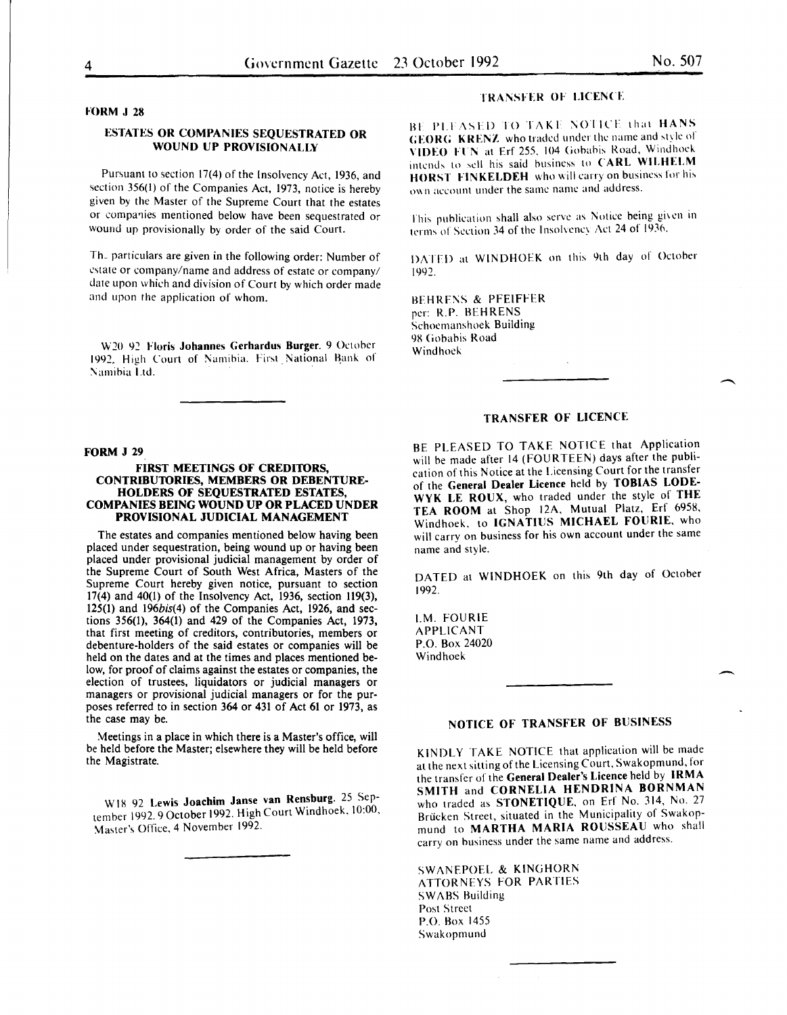#### **FORM J 28**

#### ESTATES OR COMPANIES SEQUESTRATED OR WOUND UP PROVISIONALLY

Pursuant to section 17(4) of the Insolvency Act, 1936, and section 356(1) of the Companies Act, 1973, notice is hereby given by the Master of the Supreme Court that the estates or companies mentioned below have been sequestrated or wound up provisionally by order of the said Court.

Th\_ particulars are given in the following order: Number of estate or company/name and address of estate or company/ date upon which and division of Court by which order made and upon the application of whom.

W20 92: Floris Johannes Gerhardus Burger. 9 October 1992. High Court of Namibia. First National Bank of :\amibia l.td.

## TRANSFER OF LICENCE

BE PLEASED TO TAKE NOTICE that HANS GEORG KRENZ who traded under the name and style of VIDEO FUN at Erf 255, 104 Gobabis Road, Windhoek intends to sell his said business to CARL WILHELM HORST FINKELDEH who will carry on business for his own account under the same name and address.

This publication shall also serve as Notice being given in terms of Section 34 of the Insolvency Act 24 of 1936.

DATED at WINDHOEK on this 9th day of October 1992.

BFHRFNS & PFEIFFER per: R.P. BEHRENS Schoemanshoek Building 9X (iobabis Road Windhoek

## TRANSFER OF LICENCE

BE PLEASED TO TAKE NOTICE that Application will be made after 14 (FOURTEEN) days after the publication of this Notice at the Licensing Court for the transfer of the General Dealer Licence held by TOBIAS LODE-WYK LE ROUX, who traded under the style of THE TEA ROOM at Shop 12A. Mutual Platz, Erf 6958, Windhoek, to IGNATIUS MICHAEL FOURIE. who will carry on business for his own account under the same name and style.

DATED at WINDHOEK on this 9th day of October 1992.

l.M. FOURIE APPLICANT P.O. Box 24020 Windhoek

## NOTICE OF TRANSFER OF BUSINESS

KINDLY TAKE NOTICE that application will be made at the next sitting of the Licensing Court, Swakopmund, for the transfer of the General Dealer's Licence held by IRMA SMITH and CORNELIA HENDRINA BORNMAN who traded as STONETIQUE, on Erf No. 314, No. 27 Brücken Street, situated in the Municipality of Swakopmund to MARTHA MARIA ROUSSEAU who shall carry on business under the same name and address.

SWANEPOEL & KINGHORN ATTORNEYS FOR PARTIES SWABS Building Post Street P.O. Box 1455 Swakopmund

#### FORM J 29

#### FIRST MEETINGS OF CREDITORS, CONTRIBUTORIES, MEMBERS OR DEBENTURE-HOLDERS OF SEQUESTRATED ESTATES, COMPANIES BEING WOUND UP OR PLACED UNDER PROVISIONAL JUDICIAL MANAGEMENT

The estates and companies mentioned below having been placed under sequestration, being wound up or having been placed under provisional judicial management by order of the Supreme Court of South West Africa, Masters of the Supreme Court hereby given notice, pursuant to section 17(4) and 40(1) of the Insolvency Act, 1936, section 119(3), 125(1) and 196bis(4) of the Companies Act, 1926, and sections 356(1), 364(1) and 429 of the Companies Act, 1973, that first meeting of creditors, contributories, members or debenture-holders of the said estates or companies will be held on the dates and at the times and places mentioned below, for proof of claims against the estates or companies, the election of trustees, liquidators or judicial managers or managers or provisional judicial managers or for the purposes referred to in section 364 or 431 of Act 61 or 1973, as the case may be.

Meetings in a place in which there is a Master's office, will be held before the Master; elsewhere they will be held before the Magistrate.

W18 92 Lewis Joachim Janse van Rensburg. 25 September 1992.9 October 1992. High Court Wmdhoek. 10.00. Master's Office, 4 November 1992.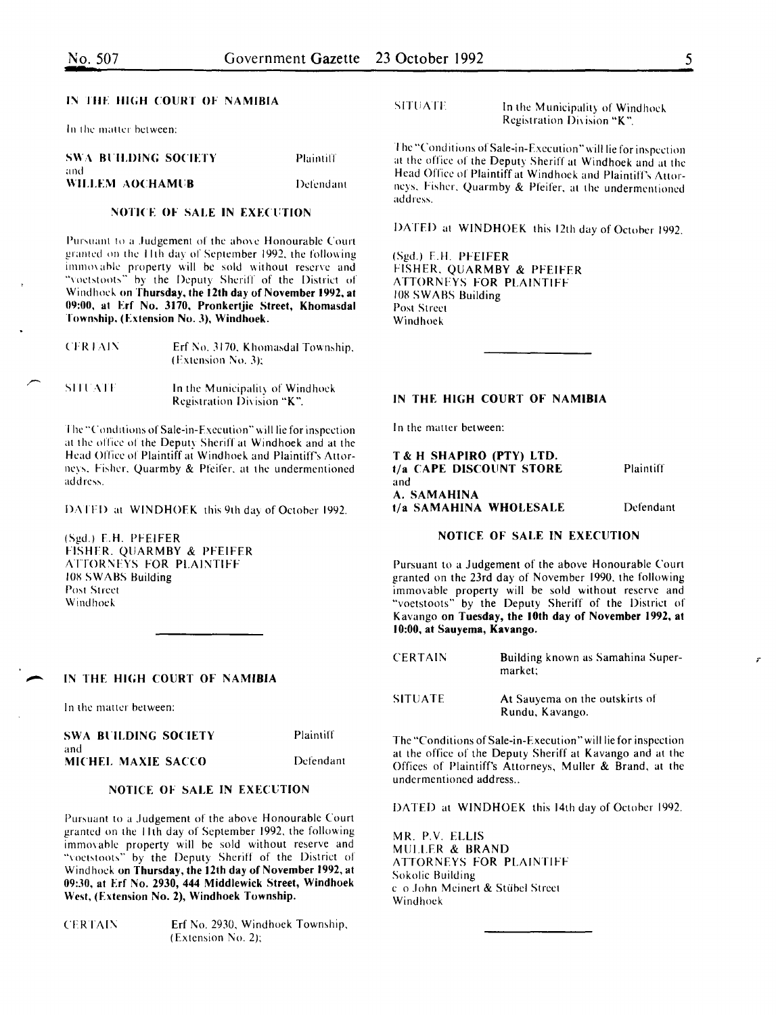#### IN THE HIGH COURT OF NAMIBIA

In the matter between:

| <b>SWA BUILDING SOCIETY</b> | Plaintiff |
|-----------------------------|-----------|
| and<br>WILLEM AOCHAMUB      | Defendant |

#### NOTICE OF SALE IN EXECUTION

Pursuant to a Judgement of the above Honourable Court granted on the 11th day of September 1992, the following immovable property will be sold without reserve and "voetstoots" by the Deputy Sheriff of the District of Windhock on Thursday, the 12th day of November 1992, at 09:00, at Erf No. 3170, Pronkertjie Street, Khomasdal Township. (Extension No. 3), Windhoek.

| <b>CERTAIN</b> | Erf No. 3170, Khomasdal Township,<br>(Extension No. 3): |  |
|----------------|---------------------------------------------------------|--|
| <b>SITUATE</b> | In the Municipality of Windhoek                         |  |

Registration Division "K".

The "Conditions of Sale-in-Execution" will lie for inspection at the office of the Deputy Sheriff at Windhoek and at the Head Oflice of Plaintiff at Windhoek and Plaintiff's Attorneys. Fisher. Quarmby & Pfeifer. at the undermentioned address.

DATED at WINDHOEK this 9th day of October 1992.

(Sgd.J F.H. PFEIFER FISHFR. QUARMBY & PFEIFER ATTORNEYS FOR PLAINTIFF lOX SWABS Building Post Street Windhoek

#### IN THE HIGH COURT OF NAMIBIA

In the matter between:

| SWA BULDING SOCIETY | Plaintiff |
|---------------------|-----------|
| and                 |           |
| MICHEL MAXIE SACCO  | Defendant |

#### NOTICE OF SALE IN EXECUTION

Pursuant to a Judgement of the ahove Honourable Court granted on the II th day of September 1992. the following immovable property will be sold without reserve and "voetstoots" by the Deputy Sheriff of the District of Windhoek on Thursday, the 12th day of November 1992, at 09:30, at Erf No. 2930, 444 Middlewick Street, Windhoek West, (Extension No.2), Windhoek Township.

CERTAIN Erf No. 2930, Windhoek Township,  $(Extension No. 2);$ 

 $STUATE$  In the Municipality of Windhoek Registration Division "K".

I he "Conditions of Sale-in-F.xccution" will lie for inspection at the office of the Deputy Sheriff at Windhoek and at the Head Office of Plaintiff at Windhoek and Plaintiff's Attorneys. Fisher. Quarmby & Pleifer. at the undermentioned address.

DATFD at WINDHOEK this 12th day of October 1992.

(Sgd.) f.H. PFEIFER FISHER. QUARMBY & PFEIFFR ATTORNFYS FOR PLAINTIFF 108 SWABS Building Post Street Windhoek

#### IN THE HIGH COURT OF NAMIBIA

In the matter between:

T & H SHAPIRO (PTY) LTD. t/a CAPE DISCOlJNT STORE and A. SAMAHINA t/a SAMAHINA WHOLESALE **Plaintiff** 

Defendant

#### NOTICE OF SALE IN EXECUTION

Pursuant to a Judgement of the above Honourable Court granted on the 23rd day of November 1990, the following immovable property will be sold without reserve and "voetstoots" by the Deputy Sheriff of the District of Kavango on Tuesday, the lOth day of November 1992, at 10:00, at Sauyema, Kavango.

The "Conditions of Sale-in-Execution" will lie for inspection at the office of the Deputy Sheriff at Kavango and at the Offices of Plaintiff's Attorneys, Muller & Brand, at the undermentioned address...

DATED at WINDHOEK this 14th day of October 1992.

MR. P.V. ELLIS MULLER & BRAND ATTORNEYS FOR PLAINTIFF Sokolic Building c o John Meinert & Stübel Street Windhoek

**CERTAIN** Building known as Samahina Supermarket:

SITUATE At Sauyema on the outskirts of Rundu, Kavango.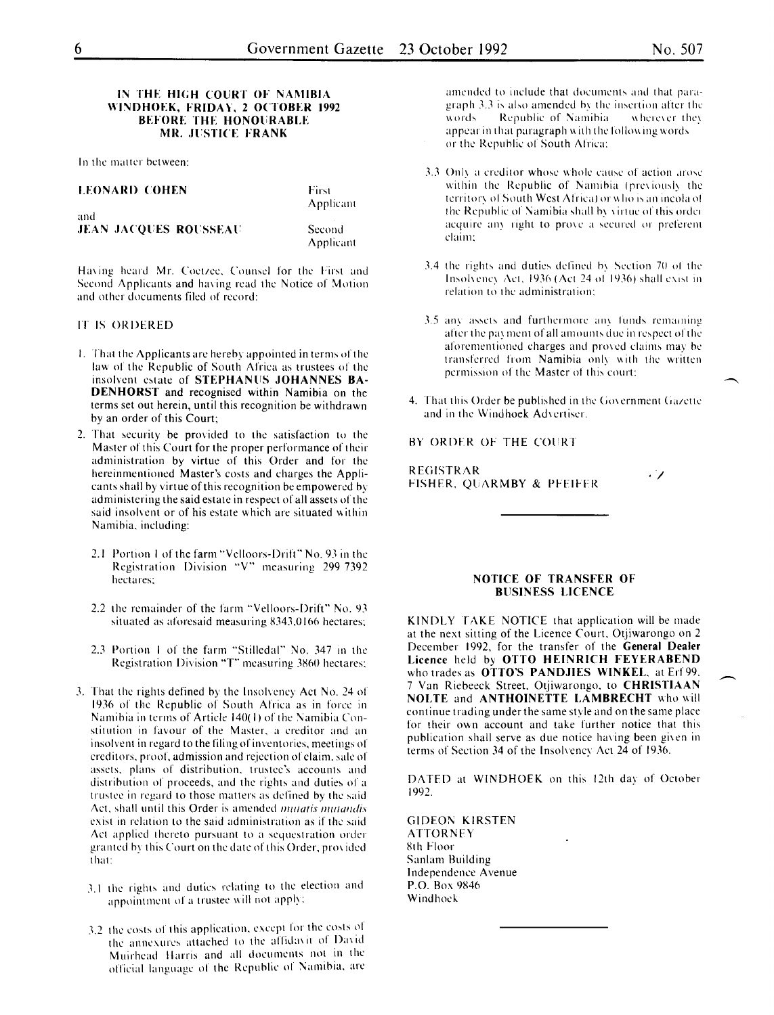#### IN THE HIGH COURT OF NAMIBIA WINDHOEK, FRIDAY, 2 OCTOBER 1992 BEFORE THE HONOURABLE MR. JUSTICE FRANK

In the matter between:

| <b>LEONARD COHEN</b> |  |  |
|----------------------|--|--|
| and                  |  |  |

JEAN JACQUES ROUSSEAU

Second Applicant

First Applicant

Having heard Mr. Coetzee, Counsel for the First and Second Applicants and having read the Notice of Motion. and other documents filed of record:

#### IT IS ORDERED

- 1. That the Applicants are hereby appointed in terms of the law of the Republic of South Africa as trustees of the insolvent estate of STEPHANUS JOHANNES BA-DENHORST and recognised within Namibia on the terms set out herein, until this recognition be withdrawn by an order of this Court;
- 2. That security be provided to the satisfaction to the Master of this Court for the proper performance of their administration by virtue of this Order and for the hereinmentioned Master's costs and charges the Applicants shall by virtue of this recognition be empowered bv administering the said estate in respect of all assets of the said insolvent or of his estate which are situated within Namibia. including:
	- 2.1 Portion I of the farm "Velloors-Drift" No. 93 in the Registration Division "V" measuring 299 7392 hectares:
	- 2.2 the remainder of the farm "Velloors-Drift" No. 93 situated as aforesaid measuring 8343,0166 hectares;
	- 2.3 Portion 1 of the farm "Stilledal" No. 347 in the Registration Division "T" measuring 3860 hectares;
- 3. That the rights defined by the Insolvency Act No. 24 of 1936 of the Republic of South Africa as in force in Namibia in terms of Article  $140(1)$  of the Namibia Constitution in favour of the Master. a creditor and an insolvent in regard to the filing of inventories, meetings of creditors. proof. admission and rejection of claim. sale of assets, plans of distribution, trustee's accounts and distribution of proceeds, and the rights and duties of a trustee in regard to those matters as defined by the said Act, shall until this Order is amended *mutatis mutandis* exist in relation to the said administration as if the said Act applied thereto pursuant to a sequestration order granted by this Court on the date of this Order, provided that:
	- 3.1 the rights and duties relating to the election and appointment of a trustee will not apply;
	- 3.2 the costs of this application, except for the costs of the annexures attached to the affidavit of David Muirhead Harris and all documents not in the official language of the Republic of Namibia, are

amended to include that documents and that paragraph 3.3 is also amended by the insertion after the words Republic of Namibia — wherever they Republic of Namibia 11 wherever they appear in that paragraph with the following words. or the Republic of South Africa:

- $3.3$  Only a creditor whose whole cause of action arose within the Republic of Namibia (previously the territory of South West Africa) or who is an incola of the Republic of Namibia shall by virtue of this order acquire any right to prove a secured or preferent claim:
- $3.4$  the rights and duties defined by Section 70 of the Insolvency Act. 1936 (Act 24 of 1936) shall exist in relation to the administration:
- 3.5 any assets and furthermore any funds remaining after the payment of all amounts due in respect of the aforementioned charges and proved claims may be transferred from Namibia only with the written permission of the Master of this court:
- 4. That this Order be published in the Government Gazette and in the Windhoek Advertiser.

BY ORDER OF THE COURT

REGISTRAR FISHER. QUARMBY & PFEIFER

#### NOTICE OF TRANSFER OF BUSINESS LICENCE

KINDLY TAKE NOTICE that application will be made at the next sitting of the Licence Court. Otjiwarongo on 2 December 1992, for the transfer of the General Dealer Licence held by OTTO HEINRICH FEYERABEND who trades as OTTO'S PANDJIES WINKEL, at Erf 99. 7 Van Riebeeck Street. Otjiwarongo. to CHRISTIAAN NOLTE and ANTHOINETTE LAMBRECHT who will continue trading under the same style and on the same place for their own account and take further notice that this publication shall serve as due notice having been given in terms of Section 34 of the Insolvency Act 24 of 1936.

DATFD at WINDHOEK on this 12th day of October 1992.

**GIDEON KIRSTEN** ATTORNFY Xth Floor Sanlam Building Independence A venue P.O. Box 9X46 Windhoek

*·I*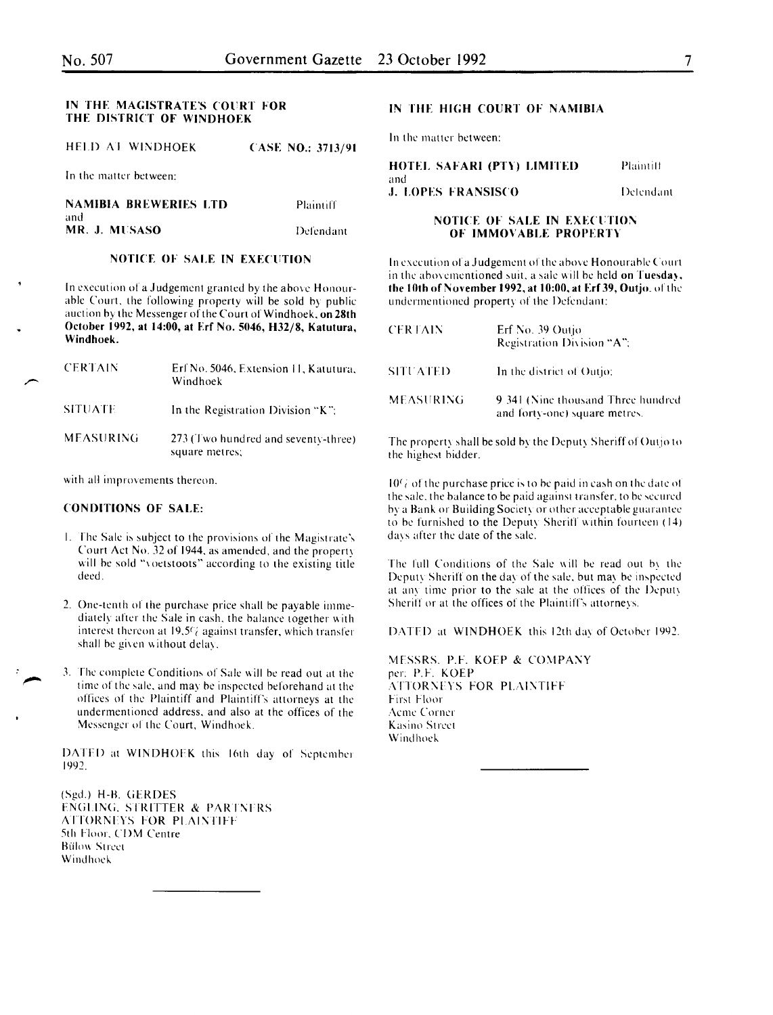#### IN THE MAGISTRATE'S COURT FOR THE DISTRICT OF WINDHOEK

HELD AT WINDHOEK CASE NO.: 3713/91

In the matter between:

| <b>NAMIBIA BREWERIES LTD</b> | Plaintiff |
|------------------------------|-----------|
| and                          |           |
| MR. J. MUSASO                | Defendant |

#### NOTICE OF SALE IN EXECUTION

In execution of a Judgement granted by the above Honourable Court, the following property will be sold by public. auction by the Messenger of the Court of Windhoek, on 28th October 1992, at 14:00, at Erf No. 5046, H32/8, Katutura, Windhoek.

| <b>CERTAIN</b> | Erf No. 5046, Extension 11, Katutura.<br>Windhoek     |
|----------------|-------------------------------------------------------|
| <b>SITUATE</b> | In the Registration Division $K$ .                    |
| MEASURING      | 273 (Two hundred and seventy-three)<br>square metres; |

with all improvements thereon.

#### CONDITIONS OF SAtE:

- $I$ . The Sale is subject to the provisions of the Magistrate's Court Act No. 32 of 1944, as amended, and the property will be sold "voetstoots" according to the existing title deed.
- 2. One-tenth of the purchase price shall be payable immediately after the Sale in cash, the balance together with interest thereon at  $19.5\%$  against transfer, which transfer shall be given without delay.
- 3. The complete Conditions of Sale will be read out at the time of the sale, and may be inspected beforehand at the offices of the Plaintiff and Plaintiff's attorneys at the undermentioned address. and also at the offices of the Messenger of the Court, Windhoek.

DATED at WINDHOFK this 16th day of September 1992.

(Sgd.) H-H. (iFRDES ENGLING, STRITTER & PARTNERS ATTORNEYS FOR PLAINTIFF 5th Floor, CDM Centre Bülow Street Windhoek

#### IN THE HIGH COURT OF NAMIBIA

In the matter between:

|     | HOTEL SAFARI (PTY) LIMITED | Plaintiff  |
|-----|----------------------------|------------|
| and |                            |            |
|     | J. LOPES FRANSISCO.        | -Defendant |

#### NOTICE OF SALE IN EXECUTION OF IMMOVABLE PROPERTY

In execution of a Judgement of the above Honourable Court in the abovementioned suit, a sale will be held on Tuesday, the 10th of November 1992, at 10:00, at Erf 39, Outjo. of the undermentioned property of the Defendant:

| CERTAIN          | Erf No. 39 Outjo<br>Registration Division "A":                      |
|------------------|---------------------------------------------------------------------|
| SITUATED         | In the district of Outjo;                                           |
| <b>MEASURING</b> | 9.341 (Nine thousand Three hundred<br>and forty-one) square metres. |

The property shall be sold by the Deputy Sheriff of Outjo to the highest bidder.

 $10<sub>1</sub>$  of the purchase price is to be paid in eash on the date of the sale, the balance to be paid against transfer, to be secured hy a Hank or Building Society or other acceptable guarantec to be furnished to the Deputy Sheriff within fourteen (14) days after the date of the sale.

The full Conditions of the Sale will be read out by the Deputy Sheriff on the day of the sale, but may be inspected at any time prior to the sale at the offices of the Deputy Sheriff or at the offices of the Plaintiff's attorneys.

DATED at WINDHOEK this 12th day of October 1992.

MESSRS. P.F. KOEP & COMPANY per: P.F. KOEP ATTORNEYS FOR PLAINTIFF First Flonr Acme Corner Kasino Street Windhoek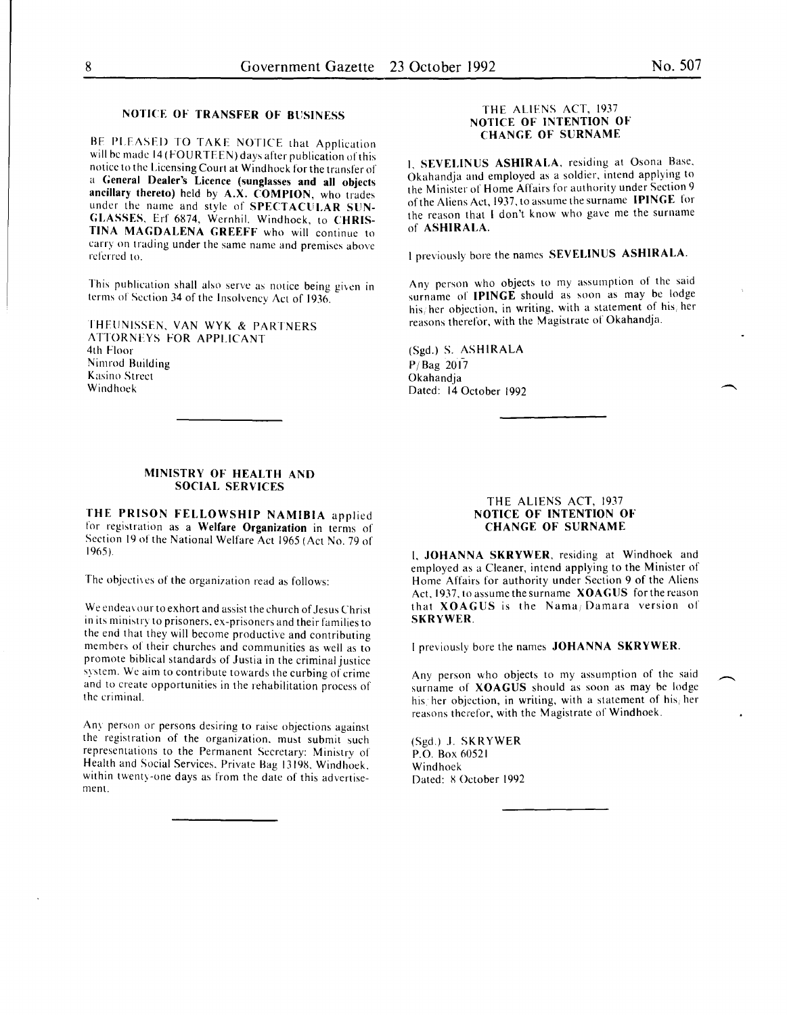### NOTICE OF TRANSFER OF BUSINESS

BE PLEASED TO TAKE NOTICE that Application will be made 14 (FOURTEEN) days after publication of this notice to the Licensing Court at Windhoek for the transfer of a General Dealer's Licence (sunglasses and all objects ancillary thereto) held by A.X. COMPION, who trades under the name and style of SPECTACULAR SUN-GLASSES, Erf 6g74, Wernhil, Windhoek, to CHRIS-TINA MAGDALENA GREEFF who will continue to carry on trading under the same name and premises above referred to.

This publication shall also serve as notice being given in terms of Section 34 of the Insolvency Act of 1936.

IHFliNISSEN, VAN WYK & PARTNERS ATTORNEYS FOR APPLICANT 4th Floor Nimrod Building Kasino Street Windhoek

#### MINISTRY OF HEALTH AND SOCIAL SERVICES

THE PRISON FELLOWSHIP NAMIBIA applied for registration as a Welfare Organization in terms of Section 19 of the National Welfare Act 1965 (Act No. 79 of 1965).

The objectives of the organization read as follows:

We endeavour to exhort and assist the church of Jesus Christ in its ministry to prisoners, ex-prisoners and their families to the end that they will become productive and contributing members of their churches and communities as well as to promote biblical standards of Justia in the criminal justice system. We aim to contribute towards the curbing of crime and to create opportunities in the rehabilitation process of the criminal.

Any person or persons desiring to raise objections against the registration of the organization, must submit such representations to the Permanent Secretary: Ministry of Health and Social Services, Private Bag 13198, Windhoek, within twenty-one days as from the date of this advertisement.

#### THE ALIENS ACT, 1937 NOTICE OF INTENTION OF CHANGE OF SURNAME

1, SEVELINUS ASHIRALA, residing at Osona Base, Okahandja and employed as a soldier, intend applying to the Minister of Home Affairs for authority under Section 9 of the Aliens Act, 1937, to assume the surname IPINGE for the reason that I don't know who gave me the surname of ASHIRALA.

I previously bore the names SEVEUNUS ASHIRALA.

Any person who objects to my assumption of the said surname of IPINGE should as soon as may be lodge his, her objection, in writing, with a statement of his, her reasons therefor, with the Magistrate of Okahandja.

(Sgd.) S. ASHIRALA P/ Bag 2017 Okahandja Dated: 14 October 1992

#### THE ALIENS ACT, 1937 NOTICE OF INTENTION OF CHANGE OF SURNAME

I, JOHANNA SKRYWER, residing at Windhoek and employed as a Cleaner, intend applying to the Minister of Home Affairs for authority under Section 9 of the Aliens Act, 1937, to assume the surname XOAGUS for the reason that XOAGUS is the Nama; Damara version of SKRYWER.

I previously bore the names JOHANNA SKRYWER.

Any person who objects to my assumption of the said surname of XOAGUS should as soon as may be lodge his her objection, in writing, with a statement of his, her reasons therefor, with the Magistrate of Windhoek.

(Sgd.) J. SKRYWER P.O. Box60521 Windhoek Dated: 8 October 1992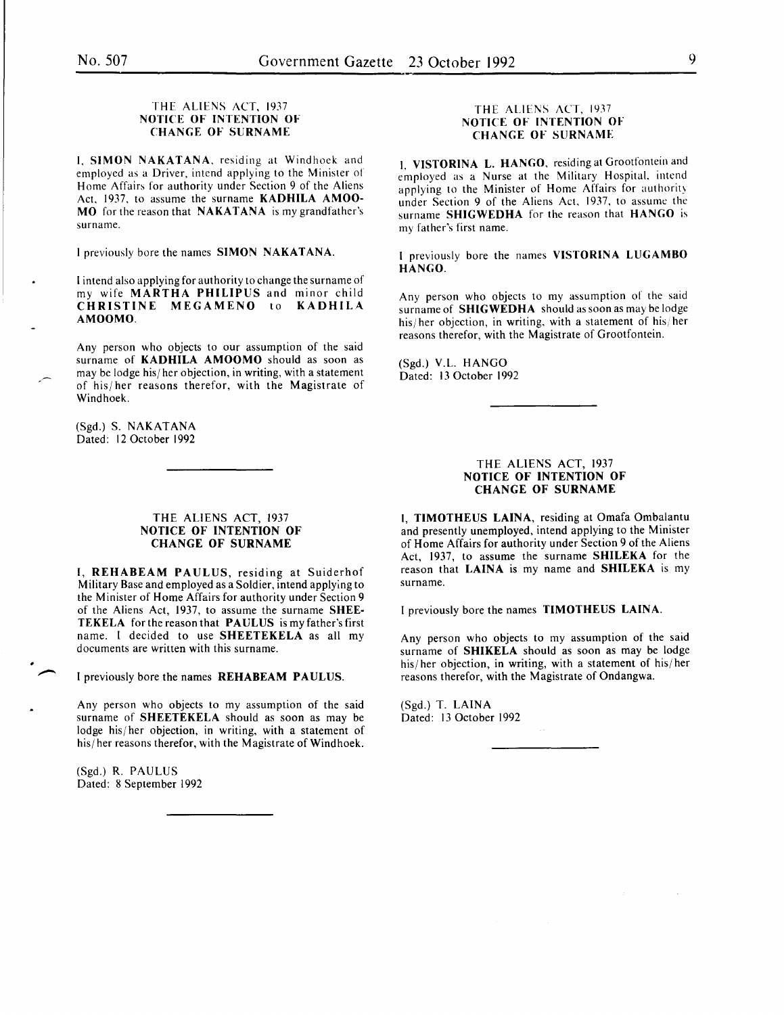#### THE ALIENS ACT, 1937 NOTICE OF INTENTION OF CHANGE OF SURNAME

I. SIMON NAKATANA. residing at Windhoek and employed as a Driver, intend applying to the Minister ot Home Affairs for authority under Section 9 of the Aliens Act, 1937. to assume the surname KADHILA AMOO-MO for the reason that NAKATANA is my grandfather's surname.

I previously bore the names SIMON NAKATANA.

I intend also applying for authority to change the surname of my wife MARTHA PHILIPUS and minor child CHRISTINE MEGAMENO to KADHILA. AMOOMO.

Any person who objects to our assumption of the said surname of **KADHILA AMOOMO** should as soon as may be lodge his/ her objection, in writing, with a statement of his/ her reasons therefor, with the Magistrate of Windhoek.

(Sgd.) S. NAKATANA Dated: 12 October 1992

#### THE ALIENS ACT, 1937 NOTICE OF INTENTION OF CHANGE OF SURNAME

I, REHABEAM PAULUS, residing at Suiderhof Military Base and employed as a Soldier, intend applying to the Minister of Home Affairs for authority under Section 9 of the Aliens Act, 1937, to assume the surname SHEE-TEKELA for the reason that PAULUS is my father's first name. I decided to use SHEETEKELA as all my documents are written with this surname.

I previously bore the names REHABEAM PAULUS.

Any person who objects to my assumption of the said surname of SHEETEKELA should as soon as may be lodge his/ her objection, in writing, with a statement of his/ her reasons therefor, with the Magistrate of Windhoek.

(Sgd.) R. PAULUS Dated: 8 September 1992

#### THE ALIENS ACT, 1937 NOTICE OF INTENTION OF CHANGE OF SURNAME

--~~~---------------------

1. VISTORINA L. HANGO, residing at Grootfontein and employed as a Nurse at the Military Hospital, intend applying to the Minister of Home Affairs for authority under Section 9 of the Aliens Act, 1937, to assume the surname SHIGWEDHA for the reason that HANGO is my father's first name.

I previously bore the names VISTORINA LUGAMBO HANGO.

Any person who objects to my assumption of the said surname of **SHIGWEDHA** should as soon as may be lodge his/her objection, in writing, with a statement of his/her reasons therefor, with the Magistrate of Grootfontein.

(Sgd.) V.L. HANGO Dated: 13 October 1992

#### THE ALIENS ACT, 1937 NOTICE OF INTENTION OF CHANGE OF SURNAME

I, TIMOTHEUS LAINA, residing at Omafa Ombalantu and presently unemployed, intend applying to the Minister of Home Affairs for authority under Section 9 of the Aliens Act, 1937, to assume the surname SHILEKA for the reason that LAINA is my name and SHILEKA is my surname.

I previously bore the names **TIMOTHEUS LAINA**.

Any person who objects to my assumption of the said surname of SHIKELA should as soon as may be lodge his/ her objection, in writing, with a statement of his/ her reasons therefor, with the Magistrate of Ondangwa.

(Sgd.) T. LAINA Dated: 13 October 1992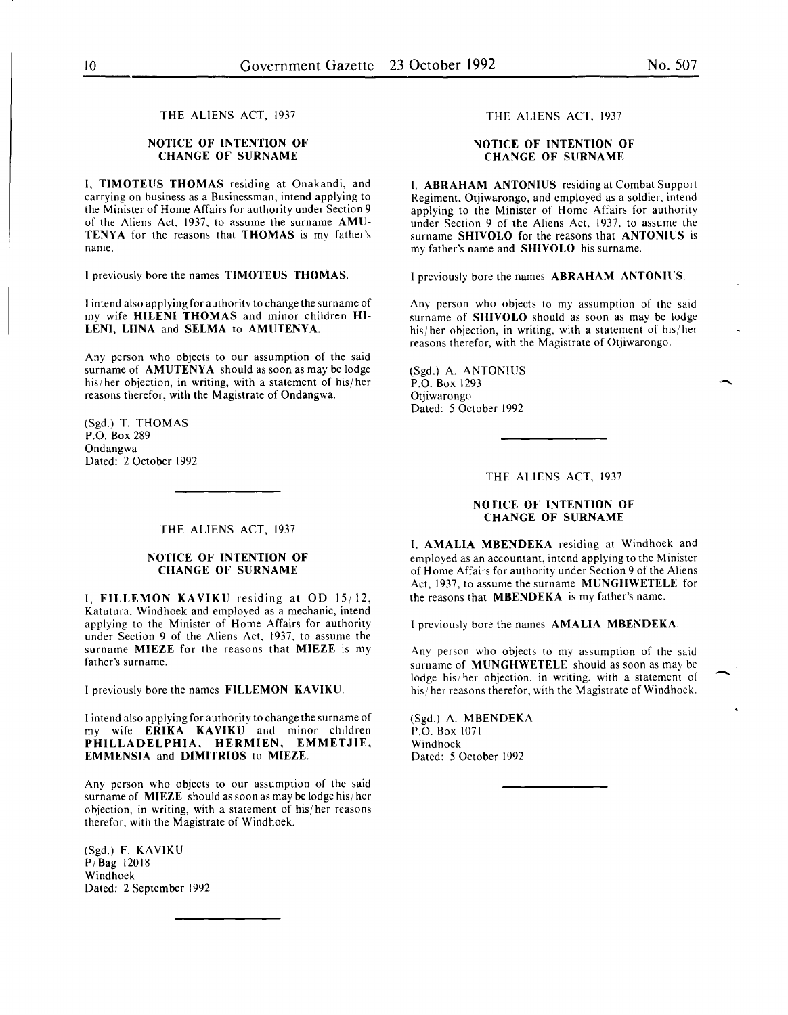THE ALIENS ACT, 1937

#### NOTICE OF INTENTION OF CHANGE OF SURNAME

I, TIMOTEUS THOMAS residing at Onakandi, and carrying on business as a Businessman, intend applying to the Minister of Home Affairs for authority under Section 9 of the Aliens Act, 1937, to assume the surname AMU-TENYA for the reasons that THOMAS is my father's name.

I previously bore the names TIMOTEUS THOMAS.

I intend also applying for authority to change the surname of my wife HILENI THOMAS and minor children HI-LENI, LUNA and SELMA to AMUTENYA.

Any person who objects to our assumption of the said surname of AMUTENYA should as soon as may be lodge his/ her objection, in writing, with a statement of his/ her reasons therefor, with the Magistrate of Ondangwa.

(Sgd.) T. THOMAS P.O. Box 289 Ondangwa Dated: 2 October 1992

#### THE ALIENS ACT, 1937

#### NOTICE OF INTENTION OF CHANGE OF SURNAME

I, FILLEMON KAVIKU residing at OD 15/12, Katutura, Windhoek and employed as a mechanic, intend applying to the Minister of Home Affairs for authority under Section 9 of the Aliens Act, 1937, to assume the surname MIEZE for the reasons that MIEZE is my father's surname.

I previously bore the names FILLEMON KAVIKU.

I intend also applying for authority to change the surname of my wife ERIKA KAVIKU and minor children PHILLADELPHIA, HERMIEN, EMMETJIE, EMMENSIA and DIMITRIOS to MIEZE.

Any person who objects to our assumption of the said surname of **MIEZE** should as soon as may be lodge his/her objection, in writing, with a statement of his/ her reasons therefor, with the Magistrate of Windhoek.

(Sgd.) F. KAVIKU P/ Bag 12018 Windhoek Dated: 2 September 1992

#### THE ALIENS ACT, 1937

#### NOTICE OF INTENTION OF CHANGE OF SURNAME

I, ABRAHAM ANTONIUS residing at Combat Support Regiment, Otjiwarongo, and employed as a soldier, intend applying to the Minister of Home Affairs for authority under Section 9 of the Aliens Act, 1937, to assume the surname SHIVOLO for the reasons that ANTONIUS is my father's name and SHIVOLO his surname.

I previously bore the names ABRAHAM ANTONIUS.

Any person who objects to my assumption of the said surname of **SHIVOLO** should as soon as may be lodge his/ her objection, in writing, with a statement of his/ her reasons therefor, with the Magistrate of Otjiwarongo.

(Sgd.) A. ANTONIUS P.O. Box 1293 Otjiwarongo Dated: 5 October 1992

#### THE ALIENS ACT, 1937

#### NOTICE OF INTENTION OF CHANGE OF SURNAME

I, AMALIA MBENDEKA residing at Windhoek and employed as an accountant, intend applying to the Minister of Home Affairs for authority under Section 9 of the Aliens Act, 1937, to assume the surname MUNGHWETELE for the reasons that **MBENDEKA** is my father's name.

I previously bore the names AMALIA MBENDEKA.

Any person who objects to my assumption of the said surname of MUNGHWETELE should as soon as may be lodge his/her objection, in writing, with a statement of his/ her reasons therefor, with the Magistrate of Windhoek.

-

(Sgd.) A. MBENDEKA P.O. Box 1071 Windhoek Dated: 5 October 1992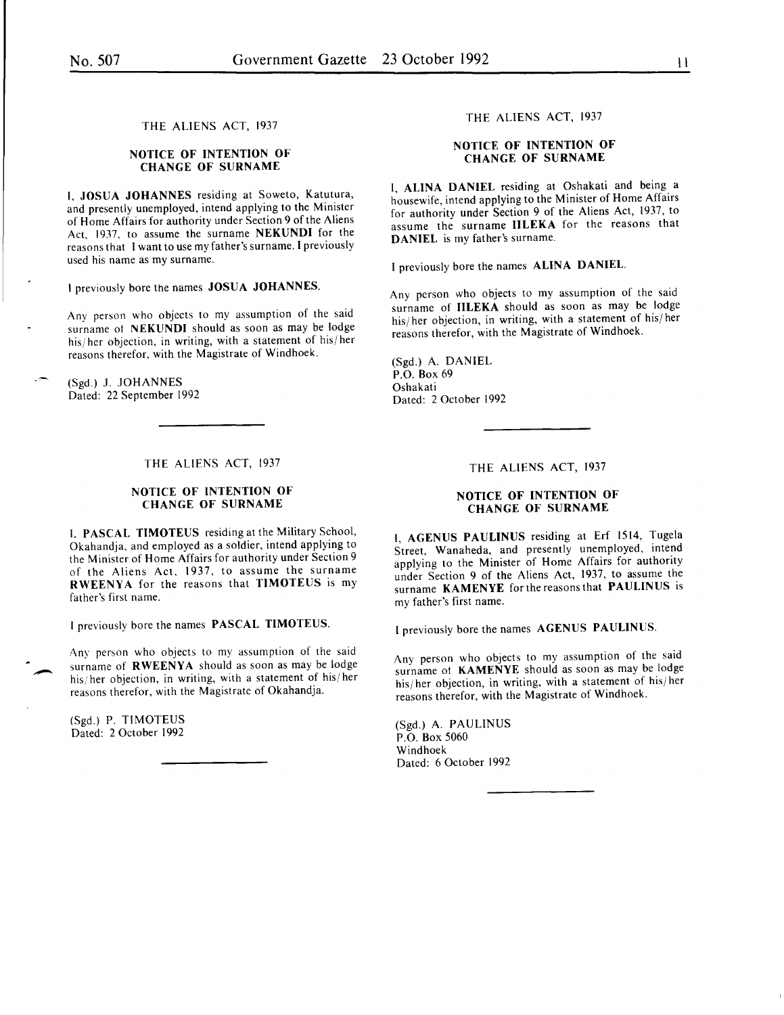### THE ALIENS ACT, 1937

#### NOTICE OF INTENTION OF CHANGE OF SURNAME

I, JOSUA JOHANNES residing at Soweto, Katutura, and presently unemployed, intend applying to the Minister of Home Affairs for authority under Section 9 of the Aliens Act, 1937, to assume the surname NEKUNDI for the reasons that I want to use my father's surname. I previously used his name as my surname.

I previously bore the names JOSUA JOHANNES.

Any person who objects to my assumption of the said surname of NEKUNDI should as soon as may be lodge his/ her objection, in writing, with a statement of his/ her reasons therefor, with the Magistrate of Windhoek.

(Sgd.) J. JOHANNES Dated: 22 September 1992

#### THE ALIENS ACT, 1937

#### NOTICE OF INTENTION OF CHANGE OF SURNAME

I, PASCAL TIMOTEUS residing at the Military School, Okahandja, and employed as a soldier, intend applying to the Minister of Home Affairs for authority under Section 9 of the Aliens Act, 1937, to assume the surname RWEENYA for the reasons that TIMOTEUS is my father's first name.

I previously bore the names PASCAL TIMOTEUS.

Any person who objects to my assumption of the said surname of RWEENYA should as soon as may be lodge his/her objection, in writing, with a statement of his/her reasons therefor, with the Magistrate of Okahandja.

(Sgd.) P. TIMOTEUS Dated: 2 October 1992

THE ALIENS ACT, 1937

#### NOTICE OF INTENTION OF CHANGE OF SURNAME

I, ALINA DANIEL residing at Oshakati and being a housewife, intend applying to the Minister of Home Affairs for authority under Section 9 of the Aliens Act, 1937, to assume the surname IILEKA for the reasons that DANIEL is my father's surname.

I previously bore the names ALINA DANIEL.

Any person who objects to my assumption of the said surname of IILEKA should as soon as may be lodge his/ her objection, in writing, with a statement of his/ her reasons therefor, with the Magistrate of Windhoek.

(Sgd.) A. DANIEL P.O. Box 69 Oshakati Dated: 2 October 1992

THE ALIENS ACT, 1937

#### NOTICE OF INTENTION OF CHANGE OF SURNAME

I, AGENUS PAULINUS residing at Erf 1514, Tugela Street, Wanaheda, and presently unemployed, intend applying to the Minister of Home Affairs for authority under Section 9 of the Aliens Act, 1937, to assume the surname KAMENYE for the reasons that PAULINUS is my father's first name.

I previously bore the names AGENUS PAULINUS.

Any person who objects to my assumption of the said surname ot KAMENYE should as soon as may be lodge his/ her objection, in writing, with a statement of his/ her reasons therefor, with the Magistrate of Windhoek.

(Sgd.) A. PAULINUS P.O. Box 5060 Windhoek Dated: 6 October 1992